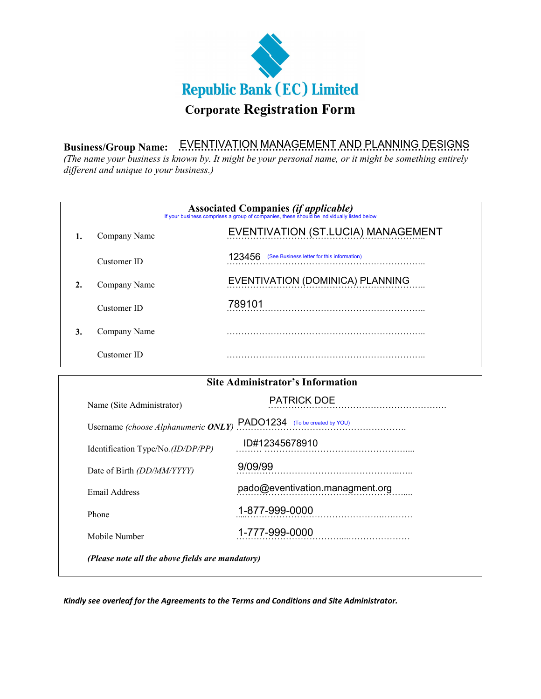

**Business/Group Name: ………………………………………………………………………………**  EVENTIVATION MANAGEMENT AND PLANNING DESIGNS

*(The name your business is known by. It might be your personal name, or it might be something entirely different and unique to your business.)*

| <b>Associated Companies (if applicable)</b><br>If your business comprises a group of companies, these should be individually listed below |              |                                                      |  |
|-------------------------------------------------------------------------------------------------------------------------------------------|--------------|------------------------------------------------------|--|
|                                                                                                                                           | Company Name | EVENTIVATION (ST.LUCIA) MANAGEMENT                   |  |
|                                                                                                                                           | Customer ID  | (See Business letter for this information)<br>123456 |  |
|                                                                                                                                           | Company Name | EVENTIVATION (DOMINICA) PLANNING                     |  |
|                                                                                                                                           | Customer ID  | 789101                                               |  |
| 3.                                                                                                                                        | Company Name |                                                      |  |
|                                                                                                                                           | Customer ID  |                                                      |  |

| <b>Site Administrator's Information</b>          |                                 |  |  |
|--------------------------------------------------|---------------------------------|--|--|
| Name (Site Administrator)                        | <b>PATRICK DOE</b>              |  |  |
| Username (choose Alphanumeric ONLY)              | PADO1234 (To be created by YOU) |  |  |
| Identification Type/No. (ID/DP/PP)               | ID#12345678910                  |  |  |
| Date of Birth <i>(DD/MM/YYYY)</i>                | 9/09/99                         |  |  |
| Email Address                                    | pado@eventivation.managment.org |  |  |
| Phone                                            | 1-877-999-0000                  |  |  |
| Mobile Number                                    | 1-777-999-0000                  |  |  |
| (Please note all the above fields are mandatory) |                                 |  |  |

*Kindly see overleaf for the Agreements to the Terms and Conditions and Site Administrator.*